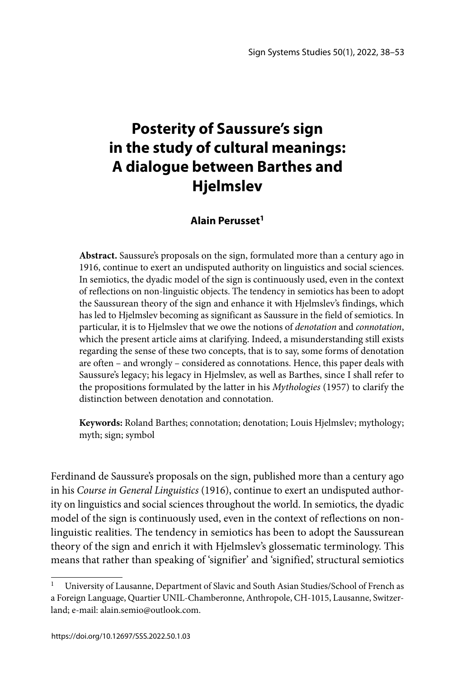# **Posterity of Saussure's sign in the study of cultural meanings: A dialogue between Barthes and Hjelmslev**

# **Alain Perusset1**

**Abstract.** Saussure's proposals on the sign, formulated more than a century ago in 1916, continue to exert an undisputed authority on linguistics and social sciences. In semiotics, the dyadic model of the sign is continuously used, even in the context of reflections on non-linguistic objects. The tendency in semiotics has been to adopt the Saussurean theory of the sign and enhance it with Hjelmslev's findings, which has led to Hjelmslev becoming as significant as Saussure in the field of semiotics. In particular, it is to Hjelmslev that we owe the notions of *denotation* and *connotation*, which the present article aims at clarifying. Indeed, a misunderstanding still exists regarding the sense of these two concepts, that is to say, some forms of denotation are often – and wrongly – considered as connotations. Hence, this paper deals with Saussure's legacy; his legacy in Hjelmslev, as well as Barthes, since I shall refer to the propositions formulated by the latter in his *Mythologies* (1957) to clarify the distinction between denotation and connotation.

**Keywords:** Roland Barthes; connotation; denotation; Louis Hjelmslev; mythology; myth; sign; symbol

Ferdinand de Saussure's proposals on the sign, published more than a century ago in his *Course in General Linguistics* (1916), continue to exert an undisputed authority on linguistics and social sciences throughout the world. In semiotics, the dyadic model of the sign is continuously used, even in the context of reflections on nonlinguistic realities. The tendency in semiotics has been to adopt the Saussurean theory of the sign and enrich it with Hjelmslev's glossematic terminology. This means that rather than speaking of 'signifier' and 'signified', structural semiotics

<sup>&</sup>lt;sup>1</sup> University of Lausanne, Department of Slavic and South Asian Studies/School of French as a Foreign Language, Quartier UNIL-Chamberonne, Anthropole, CH-1015, Lausanne, Switzerland; e-mail: alain.semio@outlook.com.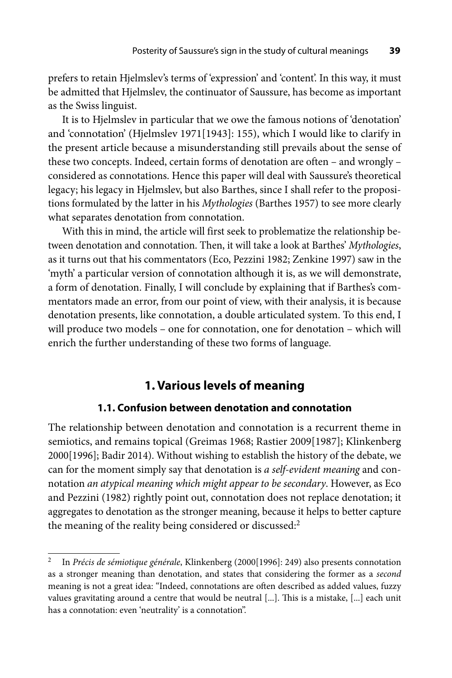prefers to retain Hjelmslev's terms of 'expression' and 'content'. In this way, it must be admitted that Hjelmslev, the continuator of Saussure, has become as important as the Swiss linguist.

It is to Hjelmslev in particular that we owe the famous notions of 'denotation' and 'connotation' (Hjelmslev 1971[1943]: 155), which I would like to clarify in the present article because a misunderstanding still prevails about the sense of these two concepts. Indeed, certain forms of denotation are often – and wrongly – considered as connotations. Hence this paper will deal with Saussure's theoretical legacy; his legacy in Hjelmslev, but also Barthes, since I shall refer to the propositions formulated by the latter in his *Mythologies* (Barthes 1957) to see more clearly what separates denotation from connotation.

With this in mind, the article will first seek to problematize the relationship between denotation and connotation. Then, it will take a look at Barthes' *Mythologies*, as it turns out that his commentators (Eco, Pezzini 1982; Zenkine 1997) saw in the 'myth' a particular version of connotation although it is, as we will demonstrate, a form of denotation. Finally, I will conclude by explaining that if Barthes's commentators made an error, from our point of view, with their analysis, it is because denotation presents, like connotation, a double articulated system. To this end, I will produce two models – one for connotation, one for denotation – which will enrich the further understanding of these two forms of language.

## **1. Various levels of meaning**

#### **1.1. Confusion between denotation and connotation**

The relationship between denotation and connotation is a recurrent theme in semiotics, and remains topical (Greimas 1968; Rastier 2009[1987]; Klinkenberg 2000[1996]; Badir 2014). Without wishing to establish the history of the debate, we can for the moment simply say that denotation is *a self-evident meaning* and connotation *an atypical meaning which might appear to be secondary*. However, as Eco and Pezzini (1982) rightly point out, connotation does not replace denotation; it aggregates to denotation as the stronger meaning, because it helps to better capture the meaning of the reality being considered or discussed:<sup>2</sup>

<sup>2</sup> In *Précis de sémiotique générale*, Klinkenberg (2000[1996]: 249) also presents connotation as a stronger meaning than denotation, and states that considering the former as a *second* meaning is not a great idea: "Indeed, connotations are often described as added values, fuzzy values gravitating around a centre that would be neutral [...]. This is a mistake, [...] each unit has a connotation: even 'neutrality' is a connotation".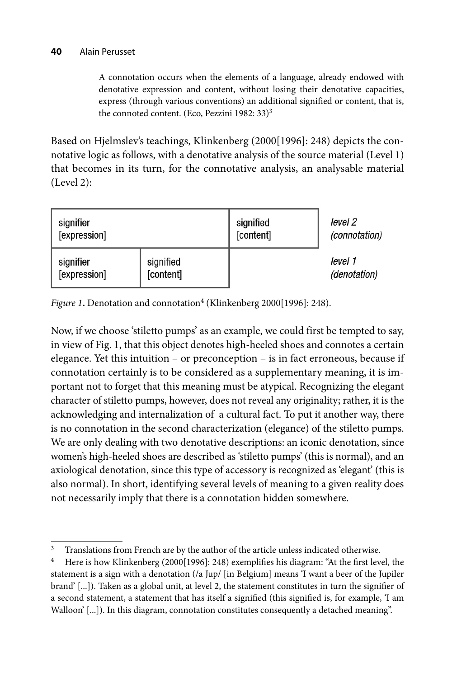A connotation occurs when the elements of a language, already endowed with denotative expression and content, without losing their denotative capacities, express (through various conventions) an additional signified or content, that is, the connoted content. (Eco, Pezzini 1982: 33)<sup>3</sup>

Based on Hjelmslev's teachings, Klinkenberg (2000[1996]: 248) depicts the connotative logic as follows, with a denotative analysis of the source material (Level 1) that becomes in its turn, for the connotative analysis, an analysable material (Level 2):



*Figure 1*. Denotation and connotation<sup>4</sup> (Klinkenberg 2000[1996]: 248).

Now, if we choose 'stiletto pumps' as an example, we could first be tempted to say, in view of Fig. 1, that this object denotes high-heeled shoes and connotes a certain elegance. Yet this intuition – or preconception – is in fact erroneous, because if connotation certainly is to be considered as a supplementary meaning, it is important not to forget that this meaning must be atypical. Recognizing the elegant character of stiletto pumps, however, does not reveal any originality; rather, it is the acknowledging and internalization of a cultural fact. To put it another way, there is no connotation in the second characterization (elegance) of the stiletto pumps. We are only dealing with two denotative descriptions: an iconic denotation, since women's high-heeled shoes are described as 'stiletto pumps' (this is normal), and an axiological denotation, since this type of accessory is recognized as 'elegant' (this is also normal). In short, identifying several levels of meaning to a given reality does not necessarily imply that there is a connotation hidden somewhere.

<sup>&</sup>lt;sup>3</sup> Translations from French are by the author of the article unless indicated otherwise.

<sup>&</sup>lt;sup>4</sup> Here is how Klinkenberg (2000[1996]: 248) exemplifies his diagram: "At the first level, the statement is a sign with a denotation (/a Jup/ [in Belgium] means 'I want a beer of the Jupiler brand' [...]). Taken as a global unit, at level 2, the statement constitutes in turn the signifier of a second statement, a statement that has itself a signified (this signified is, for example, 'I am Walloon' [...]). In this diagram, connotation constitutes consequently a detached meaning".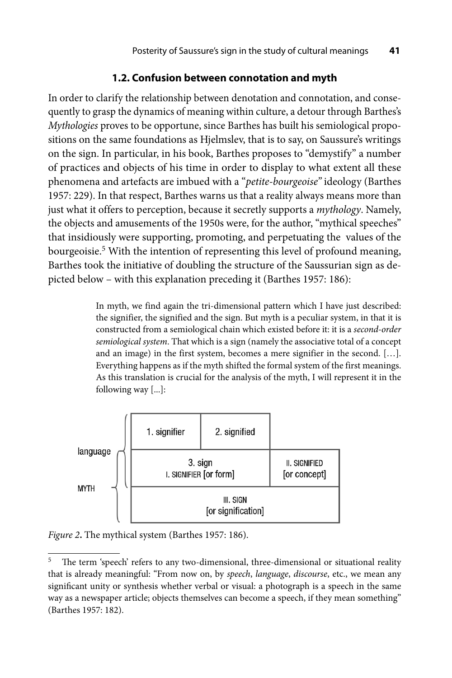## **1.2. Confusion between connotation and myth**

In order to clarify the relationship between denotation and connotation, and consequently to grasp the dynamics of meaning within culture, a detour through Barthes's *Mythologies* proves to be opportune, since Barthes has built his semiological propositions on the same foundations as Hjelmslev, that is to say, on Saussure's writings on the sign. In particular, in his book, Barthes proposes to "demystify" a number of practices and objects of his time in order to display to what extent all these phenomena and artefacts are imbued with a "*petite-bourgeoise"* ideology (Barthes 1957: 229). In that respect, Barthes warns us that a reality always means more than just what it offers to perception, because it secretly supports a *mythology*. Namely, the objects and amusements of the 1950s were, for the author, "mythical speeches" that insidiously were supporting, promoting, and perpetuating the values of the bourgeoisie.<sup>5</sup> With the intention of representing this level of profound meaning, Barthes took the initiative of doubling the structure of the Saussurian sign as depicted below – with this explanation preceding it (Barthes 1957: 186):

> In myth, we find again the tri-dimensional pattern which I have just described: the signifier, the signified and the sign. But myth is a peculiar system, in that it is constructed from a semiological chain which existed before it: it is a *second-order semiological system*. That which is a sign (namely the associative total of a concept and an image) in the first system, becomes a mere signifier in the second. […]. Everything happens as if the myth shifted the formal system of the first meanings. As this translation is crucial for the analysis of the myth, I will represent it in the following way [...]:



*Figure 2***.** The mythical system (Barthes 1957: 186).

 $5$  The term 'speech' refers to any two-dimensional, three-dimensional or situational reality that is already meaningful: "From now on, by *speech*, *language*, *discourse*, etc., we mean any significant unity or synthesis whether verbal or visual: a photograph is a speech in the same way as a newspaper article; objects themselves can become a speech, if they mean something" (Barthes 1957: 182).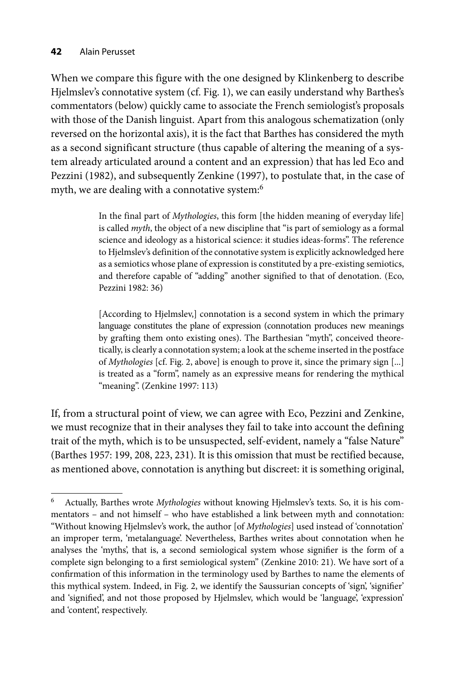When we compare this figure with the one designed by Klinkenberg to describe Hjelmslev's connotative system (cf. Fig. 1), we can easily understand why Barthes's commentators (below) quickly came to associate the French semiologist's proposals with those of the Danish linguist. Apart from this analogous schematization (only reversed on the horizontal axis), it is the fact that Barthes has considered the myth as a second significant structure (thus capable of altering the meaning of a system already articulated around a content and an expression) that has led Eco and Pezzini (1982), and subsequently Zenkine (1997), to postulate that, in the case of myth, we are dealing with a connotative system:<sup>6</sup>

> In the final part of *Mythologies*, this form [the hidden meaning of everyday life] is called *myth*, the object of a new discipline that "is part of semiology as a formal science and ideology as a historical science: it studies ideas-forms". The reference to Hjelmslev's definition of the connotative system is explicitly acknowledged here as a semiotics whose plane of expression is constituted by a pre-existing semiotics, and therefore capable of "adding" another signified to that of denotation. (Eco, Pezzini 1982: 36)

> [According to Hjelmslev,] connotation is a second system in which the primary language constitutes the plane of expression (connotation produces new meanings by grafting them onto existing ones). The Barthesian "myth", conceived theoretically, is clearly a connotation system; a look at the scheme inserted in the postface of *Mythologies* [cf. Fig. 2, above] is enough to prove it, since the primary sign [...] is treated as a "form", namely as an expressive means for rendering the mythical "meaning". (Zenkine 1997: 113)

If, from a structural point of view, we can agree with Eco, Pezzini and Zenkine, we must recognize that in their analyses they fail to take into account the defining trait of the myth, which is to be unsuspected, self-evident, namely a "false Nature" (Barthes 1957: 199, 208, 223, 231). It is this omission that must be rectified because, as mentioned above, connotation is anything but discreet: it is something original,

<sup>6</sup> Actually, Barthes wrote *Mythologies* without knowing Hjelmslev's texts. So, it is his commentators – and not himself – who have established a link between myth and connotation: "Without knowing Hjelmslev's work, the author [of *Mythologies*] used instead of 'connotation' an improper term, 'metalanguage'. Nevertheless, Barthes writes about connotation when he analyses the 'myths', that is, a second semiological system whose signifier is the form of a complete sign belonging to a first semiological system" (Zenkine 2010: 21). We have sort of a confirmation of this information in the terminology used by Barthes to name the elements of this mythical system. Indeed, in Fig. 2, we identify the Saussurian concepts of 'sign', 'signifier' and 'signified', and not those proposed by Hjelmslev, which would be 'language', 'expression' and 'content', respectively.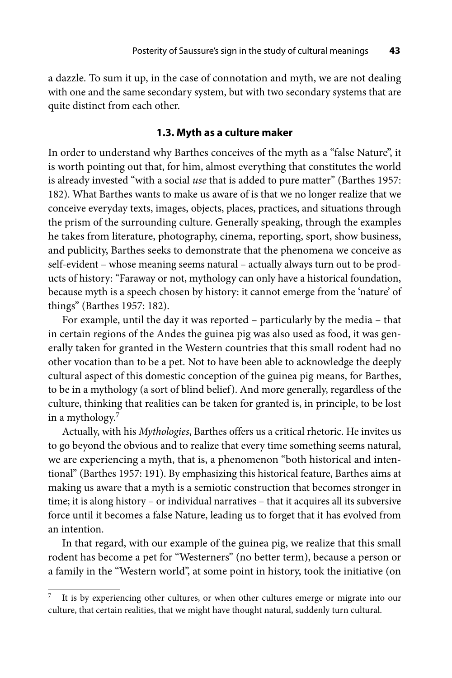a dazzle. To sum it up, in the case of connotation and myth, we are not dealing with one and the same secondary system, but with two secondary systems that are quite distinct from each other.

#### **1.3. Myth as a culture maker**

In order to understand why Barthes conceives of the myth as a "false Nature", it is worth pointing out that, for him, almost everything that constitutes the world is already invested "with a social *use* that is added to pure matter" (Barthes 1957: 182). What Barthes wants to make us aware of is that we no longer realize that we conceive everyday texts, images, objects, places, practices, and situations through the prism of the surrounding culture. Generally speaking, through the examples he takes from literature, photography, cinema, reporting, sport, show business, and publicity, Barthes seeks to demonstrate that the phenomena we conceive as self-evident – whose meaning seems natural – actually always turn out to be products of history: "Faraway or not, mythology can only have a historical foundation, because myth is a speech chosen by history: it cannot emerge from the 'nature' of things" (Barthes 1957: 182).

For example, until the day it was reported – particularly by the media – that in certain regions of the Andes the guinea pig was also used as food, it was generally taken for granted in the Western countries that this small rodent had no other vocation than to be a pet. Not to have been able to acknowledge the deeply cultural aspect of this domestic conception of the guinea pig means, for Barthes, to be in a mythology (a sort of blind belief). And more generally, regardless of the culture, thinking that realities can be taken for granted is, in principle, to be lost in a mythology.<sup>7</sup>

Actually, with his *Mythologies*, Barthes offers us a critical rhetoric. He invites us to go beyond the obvious and to realize that every time something seems natural, we are experiencing a myth, that is, a phenomenon "both historical and intentional" (Barthes 1957: 191). By emphasizing this historical feature, Barthes aims at making us aware that a myth is a semiotic construction that becomes stronger in time; it is along history – or individual narratives – that it acquires all its subversive force until it becomes a false Nature, leading us to forget that it has evolved from an intention.

In that regard, with our example of the guinea pig, we realize that this small rodent has become a pet for "Westerners" (no better term), because a person or a family in the "Western world", at some point in history, took the initiative (on

It is by experiencing other cultures, or when other cultures emerge or migrate into our culture, that certain realities, that we might have thought natural, suddenly turn cultural.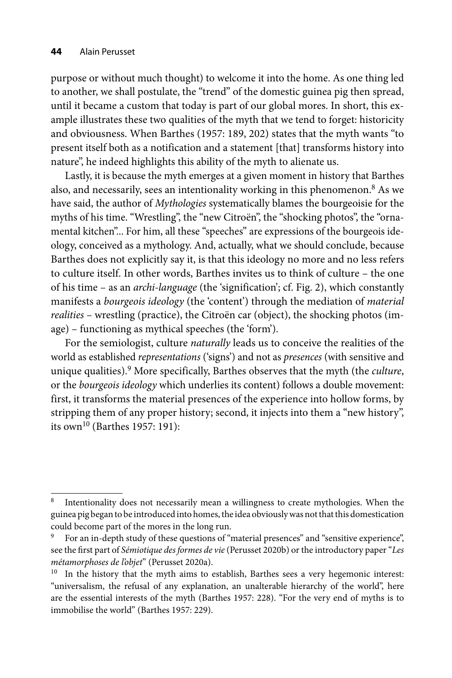purpose or without much thought) to welcome it into the home. As one thing led to another, we shall postulate, the "trend" of the domestic guinea pig then spread, until it became a custom that today is part of our global mores. In short, this example illustrates these two qualities of the myth that we tend to forget: historicity and obviousness. When Barthes (1957: 189, 202) states that the myth wants "to present itself both as a notification and a statement [that] transforms history into nature", he indeed highlights this ability of the myth to alienate us.

Lastly, it is because the myth emerges at a given moment in history that Barthes also, and necessarily, sees an intentionality working in this phenomenon.<sup>8</sup> As we have said, the author of *Mythologies* systematically blames the bourgeoisie for the myths of his time. "Wrestling", the "new Citroën", the "shocking photos", the "ornamental kitchen"... For him, all these "speeches" are expressions of the bourgeois ideology, conceived as a mythology. And, actually, what we should conclude, because Barthes does not explicitly say it, is that this ideology no more and no less refers to culture itself. In other words, Barthes invites us to think of culture – the one of his time – as an *archi-language* (the 'signification'; cf. Fig. 2), which constantly manifests a *bourgeois ideology* (the 'content') through the mediation of *material realities –* wrestling (practice), the Citroën car (object), the shocking photos (image) – functioning as mythical speeches (the 'form').

For the semiologist, culture *naturally* leads us to conceive the realities of the world as established *representations* ('signs') and not as *presences* (with sensitive and unique qualities).9 More specifically, Barthes observes that the myth (the *culture*, or the *bourgeois ideology* which underlies its content) follows a double movement: first, it transforms the material presences of the experience into hollow forms, by stripping them of any proper history; second, it injects into them a "new history", its own<sup>10</sup> (Barthes 1957: 191):

Intentionality does not necessarily mean a willingness to create mythologies. When the guinea pig began to be introduced into homes, the idea obviously was not that this domestication could become part of the mores in the long run.

For an in-depth study of these questions of "material presences" and "sensitive experience", see the first part of *Sémiotique des formes de vie* (Perusset 2020b) or the introductory paper "Les *métamorphoses de l'objet*" (Perusset 2020a).

<sup>&</sup>lt;sup>10</sup> In the history that the myth aims to establish, Barthes sees a very hegemonic interest: "universalism, the refusal of any explanation, an unalterable hierarchy of the world", here are the essential interests of the myth (Barthes 1957: 228). "For the very end of myths is to immobilise the world" (Barthes 1957: 229).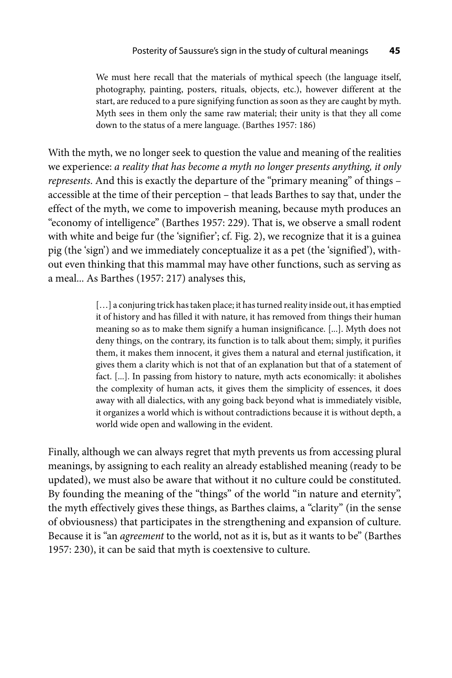We must here recall that the materials of mythical speech (the language itself, photography, painting, posters, rituals, objects, etc.), however different at the start, are reduced to a pure signifying function as soon as they are caught by myth. Myth sees in them only the same raw material; their unity is that they all come down to the status of a mere language. (Barthes 1957: 186)

With the myth, we no longer seek to question the value and meaning of the realities we experience: *a reality that has become a myth no longer presents anything, it only represents*. And this is exactly the departure of the "primary meaning" of things – accessible at the time of their perception – that leads Barthes to say that, under the effect of the myth, we come to impoverish meaning, because myth produces an "economy of intelligence" (Barthes 1957: 229). That is, we observe a small rodent with white and beige fur (the 'signifier'; cf. Fig. 2), we recognize that it is a guinea pig (the 'sign') and we immediately conceptualize it as a pet (the 'signified'), without even thinking that this mammal may have other functions, such as serving as a meal... As Barthes (1957: 217) analyses this,

> [...] a conjuring trick has taken place; it has turned reality inside out, it has emptied it of history and has filled it with nature, it has removed from things their human meaning so as to make them signify a human insignificance. [...]. Myth does not deny things, on the contrary, its function is to talk about them; simply, it purifies them, it makes them innocent, it gives them a natural and eternal justification, it gives them a clarity which is not that of an explanation but that of a statement of fact. [...]. In passing from history to nature, myth acts economically: it abolishes the complexity of human acts, it gives them the simplicity of essences, it does away with all dialectics, with any going back beyond what is immediately visible, it organizes a world which is without contradictions because it is without depth, a world wide open and wallowing in the evident.

Finally, although we can always regret that myth prevents us from accessing plural meanings, by assigning to each reality an already established meaning (ready to be updated), we must also be aware that without it no culture could be constituted. By founding the meaning of the "things" of the world "in nature and eternity", the myth effectively gives these things, as Barthes claims, a "clarity" (in the sense of obviousness) that participates in the strengthening and expansion of culture. Because it is "an *agreement* to the world, not as it is, but as it wants to be" (Barthes 1957: 230), it can be said that myth is coextensive to culture.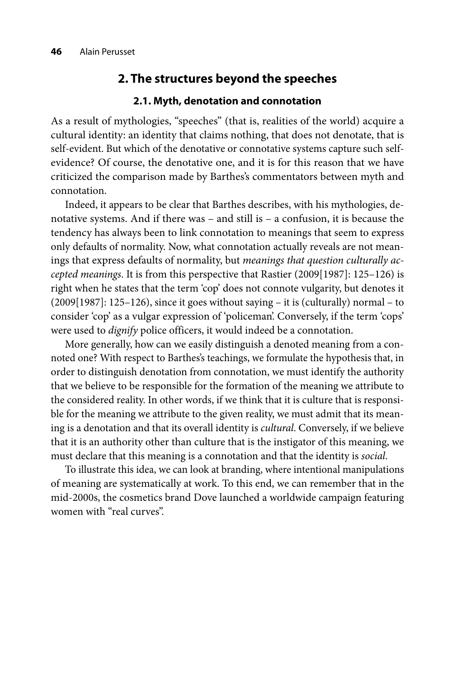## **2. The structures beyond the speeches**

#### **2.1. Myth, denotation and connotation**

As a result of mythologies, "speeches" (that is, realities of the world) acquire a cultural identity: an identity that claims nothing, that does not denotate, that is self-evident. But which of the denotative or connotative systems capture such selfevidence? Of course, the denotative one, and it is for this reason that we have criticized the comparison made by Barthes's commentators between myth and connotation.

Indeed, it appears to be clear that Barthes describes, with his mythologies, denotative systems. And if there was – and still is – a confusion, it is because the tendency has always been to link connotation to meanings that seem to express only defaults of normality. Now, what connotation actually reveals are not meanings that express defaults of normality, but *meanings that question culturally accepted meanings*. It is from this perspective that Rastier (2009[1987]: 125–126) is right when he states that the term 'cop' does not connote vulgarity, but denotes it (2009[1987]: 125–126), since it goes without saying – it is (culturally) normal – to consider 'cop' as a vulgar expression of 'policeman'. Conversely, if the term 'cops' were used to *dignify* police officers, it would indeed be a connotation.

More generally, how can we easily distinguish a denoted meaning from a connoted one? With respect to Barthes's teachings, we formulate the hypothesis that, in order to distinguish denotation from connotation, we must identify the authority that we believe to be responsible for the formation of the meaning we attribute to the considered reality. In other words, if we think that it is culture that is responsible for the meaning we attribute to the given reality, we must admit that its meaning is a denotation and that its overall identity is *cultural*. Conversely, if we believe that it is an authority other than culture that is the instigator of this meaning, we must declare that this meaning is a connotation and that the identity is *social*.

To illustrate this idea, we can look at branding, where intentional manipulations of meaning are systematically at work. To this end, we can remember that in the mid-2000s, the cosmetics brand Dove launched a worldwide campaign featuring women with "real curves".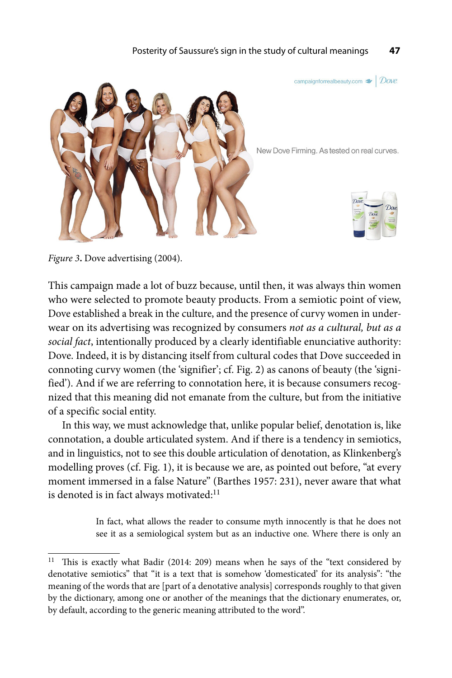

*Figure 3***.** Dove advertising (2004).

This campaign made a lot of buzz because, until then, it was always thin women who were selected to promote beauty products. From a semiotic point of view, Dove established a break in the culture, and the presence of curvy women in under wear on its advertising was recognized by consumers *not as a cultural, but as a social fact*, intentionally produced by a clearly identifiable enunciative authority: Dove. Indeed, it is by distancing itself from cultural codes that Dove succeeded in connoting curvy women (the 'signifier'; cf. Fig. 2) as canons of beauty (the 'signified'). And if we are referring to connotation here, it is because consumers recognized that this meaning did not emanate from the culture, but from the initiative of a specific social entity.

In this way, we must acknowledge that, unlike popular belief, denotation is, like connotation, a double articulated system. And if there is a tendency in semiotics, and in linguistics, not to see this double articulation of denotation, as Klinkenberg's modelling proves (cf. Fig. 1), it is because we are, as pointed out before, "at every moment immersed in a false Nature" (Barthes 1957: 231), never aware that what is denoted is in fact always motivated:<sup>11</sup>

> In fact, what allows the reader to consume myth innocently is that he does not see it as a semiological system but as an inductive one. Where there is only an

 $11$  This is exactly what Badir (2014: 209) means when he says of the "text considered by denotative semiotics" that "it is a text that is somehow 'domesticated' for its analysis": "the meaning of the words that are [part of a denotative analysis] corresponds roughly to that given by the dictionary, among one or another of the meanings that the dictionary enumerates, or, by default, according to the generic meaning attributed to the word".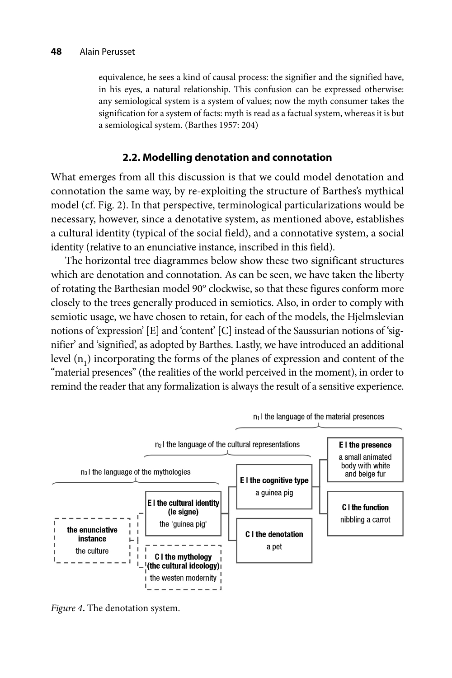equivalence, he sees a kind of causal process: the signifier and the signified have, in his eyes, a natural relationship. This confusion can be expressed otherwise: any semiological system is a system of values; now the myth consumer takes the signification for a system of facts: myth is read as a factual system, whereas it is but a semiological system. (Barthes 1957: 204)

## **2.2. Modelling denotation and connotation**

What emerges from all this discussion is that we could model denotation and connotation the same way, by re-exploiting the structure of Barthes's mythical model (cf. Fig. 2). In that perspective, terminological particularizations would be necessary, however, since a denotative system, as mentioned above, establishes a cultural identity (typical of the social field), and a connotative system, a social identity (relative to an enunciative instance, inscribed in this field).

The horizontal tree diagrammes below show these two significant structures which are denotation and connotation. As can be seen, we have taken the liberty of rotating the Barthesian model 90° clockwise, so that these figures conform more closely to the trees generally produced in semiotics. Also, in order to comply with semiotic usage, we have chosen to retain, for each of the models, the Hjelmslevian notions of 'expression' [E] and 'content' [C] instead of the Saussurian notions of 'signifier' and 'signified', as adopted by Barthes. Lastly, we have introduced an additional level  $(n_1)$  incorporating the forms of the planes of expression and content of the "material presences" (the realities of the world perceived in the moment), in order to remind the reader that any formalization is always the result of a sensitive experience.



*Figure 4***.** The denotation system.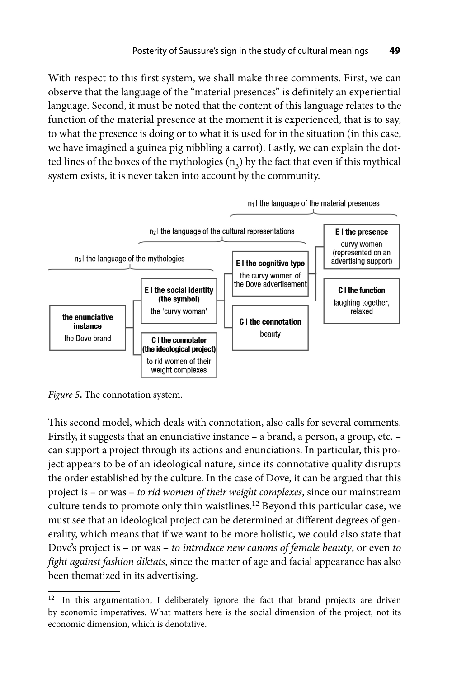With respect to this first system, we shall make three comments. First, we can observe that the language of the "material presences" is definitely an experiential language. Second, it must be noted that the content of this language relates to the function of the material presence at the moment it is experienced, that is to say, to what the presence is doing or to what it is used for in the situation (in this case, we have imagined a guinea pig nibbling a carrot). Lastly, we can explain the dotted lines of the boxes of the mythologies  $(n_3)$  by the fact that even if this mythical system exists, it is never taken into account by the community.



*Figure 5***.** The connotation system.

This second model, which deals with connotation, also calls for several comments. Firstly, it suggests that an enunciative instance – a brand, a person, a group, etc. – can support a project through its actions and enunciations. In particular, this project appears to be of an ideological nature, since its connotative quality disrupts the order established by the culture. In the case of Dove, it can be argued that this project is – or was – *to rid women of their weight complexes*, since our mainstream culture tends to promote only thin waistlines.<sup>12</sup> Beyond this particular case, we must see that an ideological project can be determined at different degrees of generality, which means that if we want to be more holistic, we could also state that Dove's project is – or was – *to introduce new canons of female beauty*, or even *to fight against fashion diktats*, since the matter of age and facial appearance has also been thematized in its advertising.

 $12$  In this argumentation, I deliberately ignore the fact that brand projects are driven by economic imperatives. What matters here is the social dimension of the project, not its economic dimension, which is denotative.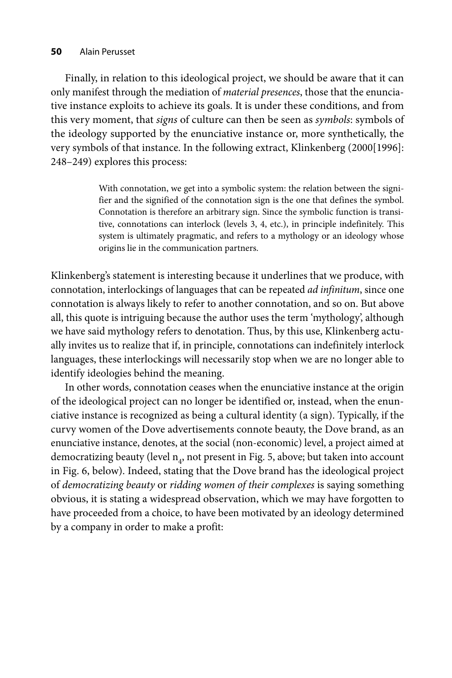#### **50** Alain Perusset

Finally, in relation to this ideological project, we should be aware that it can only manifest through the mediation of *material presences*, those that the enunciative instance exploits to achieve its goals. It is under these conditions, and from this very moment, that *signs* of culture can then be seen as *symbols*: symbols of the ideology supported by the enunciative instance or, more synthetically, the very symbols of that instance. In the following extract, Klinkenberg (2000[1996]: 248–249) explores this process:

> With connotation, we get into a symbolic system: the relation between the signifier and the signified of the connotation sign is the one that defines the symbol. Connotation is therefore an arbitrary sign. Since the symbolic function is transitive, connotations can interlock (levels 3, 4, etc.), in principle indefinitely. This system is ultimately pragmatic, and refers to a mythology or an ideology whose origins lie in the communication partners.

Klinkenberg's statement is interesting because it underlines that we produce, with connotation, interlockings of languages that can be repeated *ad infinitum*, since one connotation is always likely to refer to another connotation, and so on. But above all, this quote is intriguing because the author uses the term 'mythology', although we have said mythology refers to denotation. Thus, by this use, Klinkenberg actually invites us to realize that if, in principle, connotations can indefinitely interlock languages, these interlockings will necessarily stop when we are no longer able to identify ideologies behind the meaning.

In other words, connotation ceases when the enunciative instance at the origin of the ideological project can no longer be identified or, instead, when the enunciative instance is recognized as being a cultural identity (a sign). Typically, if the curvy women of the Dove advertisements connote beauty, the Dove brand, as an enunciative instance, denotes, at the social (non-economic) level, a project aimed at democratizing beauty (level  $n_A$ , not present in Fig. 5, above; but taken into account in Fig. 6, below). Indeed, stating that the Dove brand has the ideological project of *democratizing beauty* or *ridding women of their complexes* is saying something obvious, it is stating a widespread observation, which we may have forgotten to have proceeded from a choice, to have been motivated by an ideology determined by a company in order to make a profit: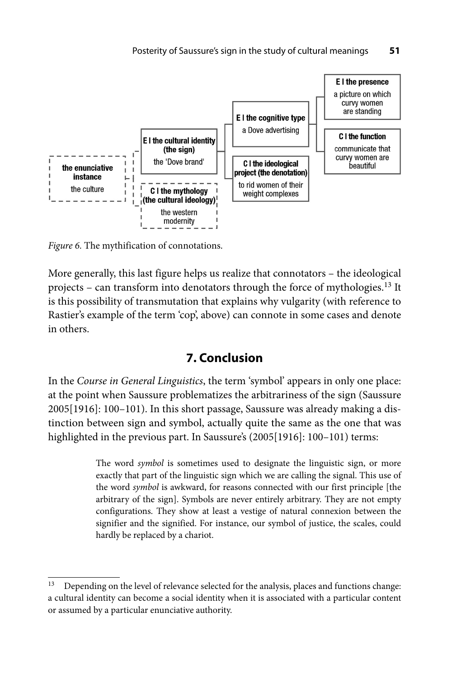

*Figure 6.* The mythification of connotations.

More generally, this last figure helps us realize that connotators – the ideological projects – can transform into denotators through the force of mythologies.13 It is this possibility of transmutation that explains why vulgarity (with reference to Rastier's example of the term 'cop', above) can connote in some cases and denote in others.

# **7. Conclusion**

In the *Course in General Linguistics*, the term 'symbol' appears in only one place: at the point when Saussure problematizes the arbitrariness of the sign (Saussure 2005[1916]: 100–101). In this short passage, Saussure was already making a distinction between sign and symbol, actually quite the same as the one that was highlighted in the previous part. In Saussure's (2005[1916]: 100-101) terms:

> The word *symbol* is sometimes used to designate the linguistic sign, or more exactly that part of the linguistic sign which we are calling the signal. This use of the word *symbol* is awkward, for reasons connected with our first principle [the arbitrary of the sign]. Symbols are never entirely arbitrary. They are not empty configurations. They show at least a vestige of natural connexion between the signifier and the signified. For instance, our symbol of justice, the scales, could hardly be replaced by a chariot.

<sup>&</sup>lt;sup>13</sup> Depending on the level of relevance selected for the analysis, places and functions change: a cultural identity can become a social identity when it is associated with a particular content or assumed by a particular enunciative authority.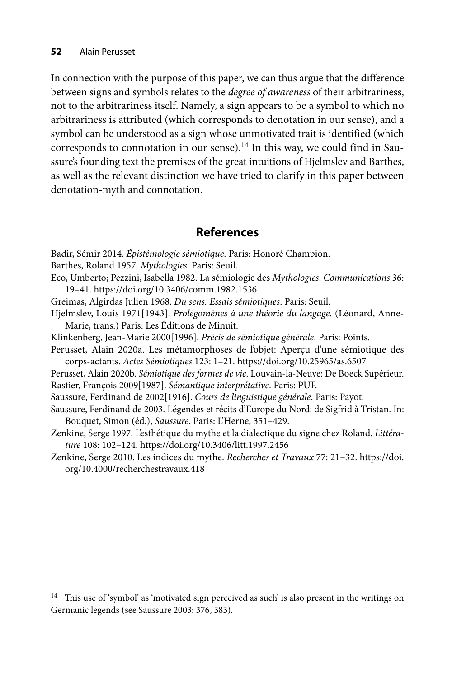In connection with the purpose of this paper, we can thus argue that the difference between signs and symbols relates to the *degree of awareness* of their arbitrariness, not to the arbitrariness itself. Namely, a sign appears to be a symbol to which no arbitrariness is attributed (which corresponds to denotation in our sense), and a symbol can be understood as a sign whose unmotivated trait is identified (which corresponds to connotation in our sense).<sup>14</sup> In this way, we could find in Saussure's founding text the premises of the great intuitions of Hjelmslev and Barthes, as well as the relevant distinction we have tried to clarify in this paper between denotation-myth and connotation.

# **References**

Badir, Sémir 2014. *Épistémologie sémiotique*. Paris: Honoré Champion. Barthes, Roland 1957. *Mythologies*. Paris: Seuil. Eco, Umberto; Pezzini, Isabella 1982. La sémiologie des *Mythologies*. *Communications* 36: 19–41. https://doi.org/10.3406/comm.1982.1536 Greimas, Algirdas Julien 1968. *Du sens. Essais sémiotiques*. Paris: Seuil. Hjelmslev, Louis 1971[1943]. *Prolégomènes à une théorie du langage.* (Léonard, Anne-Marie, trans.) Paris: Les Éditions de Minuit. Klinkenberg, Jean-Marie 2000[1996]. *Précis de sémiotique générale*. Paris: Points. Perusset, Alain 2020a. Les métamorphoses de l'objet: Aperçu d'une sémiotique des corps-actants. *Actes Sémiotiques* 123: 1–21. https://doi.org/10.25965/as.6507 Perusset, Alain 2020b. *Sémiotique des formes de vie*. Louvain-la-Neuve: De Boeck Supérieur. Rastier, François 2009[1987]. *Sémantique interprétative*. Paris: PUF. Saussure, Ferdinand de 2002[1916]. *Cours de linguistique générale*. Paris: Payot. Saussure, Ferdinand de 2003. Légendes et récits d'Europe du Nord: de Sigfrid à Tristan. In: Bouquet, Simon (éd.), *Saussure*. Paris: L'Herne, 351–429. Zenkine, Serge 1997. L'esthétique du mythe et la dialectique du signe chez Roland. *Littérature* 108: 102–124. https://doi.org/10.3406/litt.1997.2456 Ze[nkine, Serge 2010. Les indices du mythe.](https://doi.org/10.4000/recherchestravaux.418) *Recherches et Travaux* 77: 21–32. https://doi.

org/10.4000/recherchestravaux.418

<sup>&</sup>lt;sup>14</sup> This use of 'symbol' as 'motivated sign perceived as such' is also present in the writings on Germanic legends (see Saussure 2003: 376, 383).